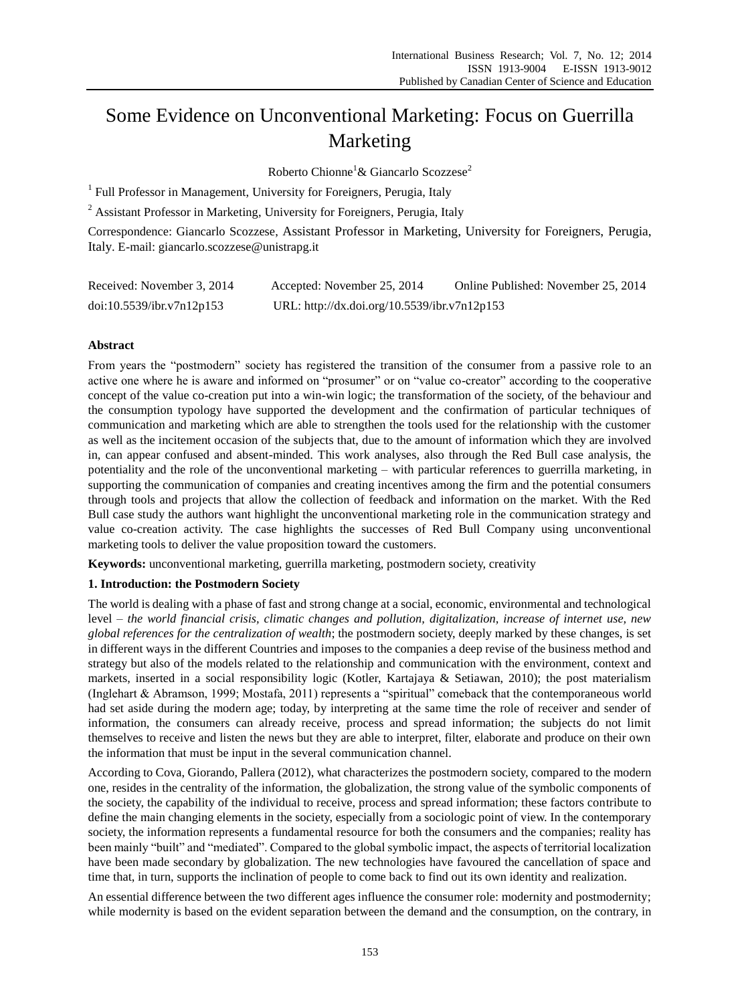# Some Evidence on Unconventional Marketing: Focus on Guerrilla Marketing

Roberto Chionne<sup>1</sup>& Giancarlo Scozzese<sup>2</sup>

<sup>1</sup> Full Professor in Management, University for Foreigners, Perugia, Italy

<sup>2</sup> Assistant Professor in Marketing, University for Foreigners, Perugia, Italy

Correspondence: Giancarlo Scozzese, Assistant Professor in Marketing, University for Foreigners, Perugia, Italy. E-mail: giancarlo.scozzese@unistrapg.it

| Received: November 3, 2014 | Accepted: November 25, 2014                  | Online Published: November 25, 2014 |
|----------------------------|----------------------------------------------|-------------------------------------|
| doi:10.5539/ibr.v7n12p153  | URL: http://dx.doi.org/10.5539/ibr.v7n12p153 |                                     |

# **Abstract**

From years the "postmodern" society has registered the transition of the consumer from a passive role to an active one where he is aware and informed on "prosumer" or on "value co-creator" according to the cooperative concept of the value co-creation put into a win-win logic; the transformation of the society, of the behaviour and the consumption typology have supported the development and the confirmation of particular techniques of communication and marketing which are able to strengthen the tools used for the relationship with the customer as well as the incitement occasion of the subjects that, due to the amount of information which they are involved in, can appear confused and absent-minded. This work analyses, also through the Red Bull case analysis, the potentiality and the role of the unconventional marketing – with particular references to guerrilla marketing, in supporting the communication of companies and creating incentives among the firm and the potential consumers through tools and projects that allow the collection of feedback and information on the market. With the Red Bull case study the authors want highlight the unconventional marketing role in the communication strategy and value co-creation activity. The case highlights the successes of Red Bull Company using unconventional marketing tools to deliver the value proposition toward the customers.

**Keywords:** unconventional marketing, guerrilla marketing, postmodern society, creativity

# **1. Introduction: the Postmodern Society**

The world is dealing with a phase of fast and strong change at a social, economic, environmental and technological level – *the world financial crisis, climatic changes and pollution, digitalization, increase of internet use, new global references for the centralization of wealth*; the postmodern society, deeply marked by these changes, is set in different ways in the different Countries and imposes to the companies a deep revise of the business method and strategy but also of the models related to the relationship and communication with the environment, context and markets, inserted in a social responsibility logic (Kotler, Kartajaya & Setiawan, 2010); the post materialism (Inglehart & Abramson, 1999; Mostafa, 2011) represents a "spiritual" comeback that the contemporaneous world had set aside during the modern age; today, by interpreting at the same time the role of receiver and sender of information, the consumers can already receive, process and spread information; the subjects do not limit themselves to receive and listen the news but they are able to interpret, filter, elaborate and produce on their own the information that must be input in the several communication channel.

According to Cova, Giorando, Pallera (2012), what characterizes the postmodern society, compared to the modern one, resides in the centrality of the information, the globalization, the strong value of the symbolic components of the society, the capability of the individual to receive, process and spread information; these factors contribute to define the main changing elements in the society, especially from a sociologic point of view. In the contemporary society, the information represents a fundamental resource for both the consumers and the companies; reality has been mainly "built" and "mediated". Compared to the global symbolic impact, the aspects of territorial localization have been made secondary by globalization. The new technologies have favoured the cancellation of space and time that, in turn, supports the inclination of people to come back to find out its own identity and realization.

An essential difference between the two different ages influence the consumer role: modernity and postmodernity; while modernity is based on the evident separation between the demand and the consumption, on the contrary, in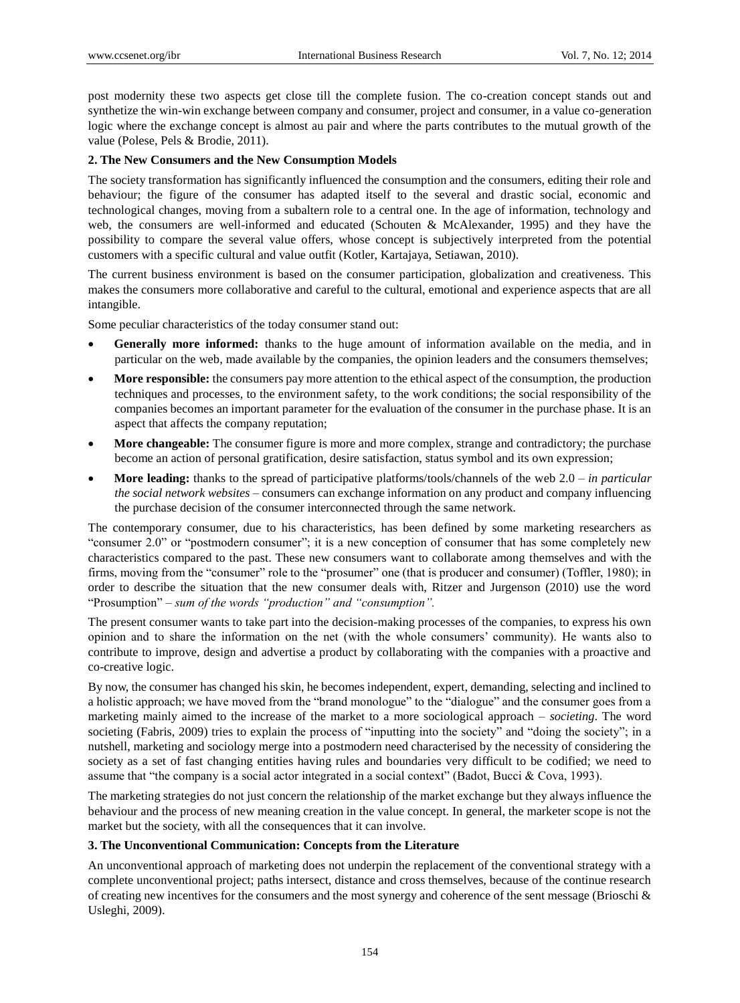post modernity these two aspects get close till the complete fusion. The co-creation concept stands out and synthetize the win-win exchange between company and consumer, project and consumer, in a value co-generation logic where the exchange concept is almost au pair and where the parts contributes to the mutual growth of the value (Polese, Pels & Brodie, 2011).

## **2. The New Consumers and the New Consumption Models**

The society transformation has significantly influenced the consumption and the consumers, editing their role and behaviour; the figure of the consumer has adapted itself to the several and drastic social, economic and technological changes, moving from a subaltern role to a central one. In the age of information, technology and web, the consumers are well-informed and educated (Schouten & McAlexander, 1995) and they have the possibility to compare the several value offers, whose concept is subjectively interpreted from the potential customers with a specific cultural and value outfit (Kotler, Kartajaya, Setiawan, 2010).

The current business environment is based on the consumer participation, globalization and creativeness. This makes the consumers more collaborative and careful to the cultural, emotional and experience aspects that are all intangible.

Some peculiar characteristics of the today consumer stand out:

- **Generally more informed:** thanks to the huge amount of information available on the media, and in particular on the web, made available by the companies, the opinion leaders and the consumers themselves;
- **More responsible:** the consumers pay more attention to the ethical aspect of the consumption, the production techniques and processes, to the environment safety, to the work conditions; the social responsibility of the companies becomes an important parameter for the evaluation of the consumer in the purchase phase. It is an aspect that affects the company reputation;
- **More changeable:** The consumer figure is more and more complex, strange and contradictory; the purchase become an action of personal gratification, desire satisfaction, status symbol and its own expression;
- **More leading:** thanks to the spread of participative platforms/tools/channels of the web 2.0 *in particular the social network websites* – consumers can exchange information on any product and company influencing the purchase decision of the consumer interconnected through the same network.

The contemporary consumer, due to his characteristics, has been defined by some marketing researchers as "consumer  $2.0$ " or "postmodern consumer"; it is a new conception of consumer that has some completely new characteristics compared to the past. These new consumers want to collaborate among themselves and with the firms, moving from the "consumer" role to the "prosumer" one (that is producer and consumer) (Toffler, 1980); in order to describe the situation that the new consumer deals with, Ritzer and Jurgenson (2010) use the word ―Prosumption‖ – *sum of the words "production" and "consumption".*

The present consumer wants to take part into the decision-making processes of the companies, to express his own opinion and to share the information on the net (with the whole consumers' community). He wants also to contribute to improve, design and advertise a product by collaborating with the companies with a proactive and co-creative logic.

By now, the consumer has changed his skin, he becomes independent, expert, demanding, selecting and inclined to a holistic approach; we have moved from the "brand monologue" to the "dialogue" and the consumer goes from a marketing mainly aimed to the increase of the market to a more sociological approach – *societing*. The word societing (Fabris, 2009) tries to explain the process of "inputting into the society" and "doing the society"; in a nutshell, marketing and sociology merge into a postmodern need characterised by the necessity of considering the society as a set of fast changing entities having rules and boundaries very difficult to be codified; we need to assume that "the company is a social actor integrated in a social context" (Badot, Bucci & Cova, 1993).

The marketing strategies do not just concern the relationship of the market exchange but they always influence the behaviour and the process of new meaning creation in the value concept. In general, the marketer scope is not the market but the society, with all the consequences that it can involve.

## **3. The Unconventional Communication: Concepts from the Literature**

An unconventional approach of marketing does not underpin the replacement of the conventional strategy with a complete unconventional project; paths intersect, distance and cross themselves, because of the continue research of creating new incentives for the consumers and the most synergy and coherence of the sent message (Brioschi  $\&$ Usleghi, 2009).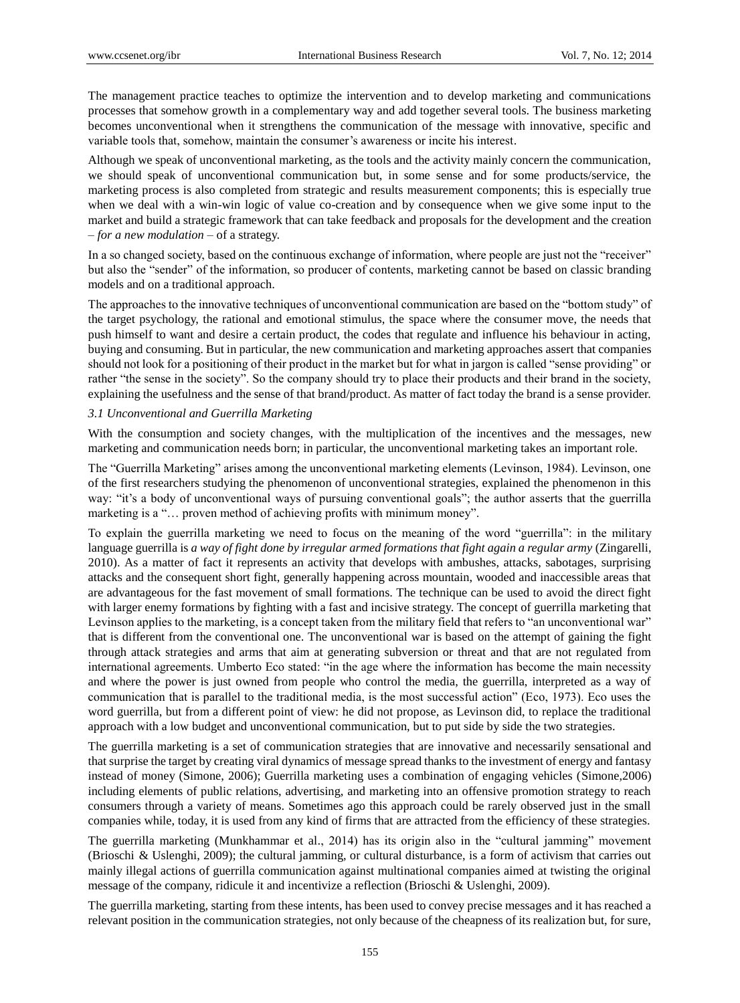The management practice teaches to optimize the intervention and to develop marketing and communications processes that somehow growth in a complementary way and add together several tools. The business marketing becomes unconventional when it strengthens the communication of the message with innovative, specific and variable tools that, somehow, maintain the consumer's awareness or incite his interest.

Although we speak of unconventional marketing, as the tools and the activity mainly concern the communication, we should speak of unconventional communication but, in some sense and for some products/service, the marketing process is also completed from strategic and results measurement components; this is especially true when we deal with a win-win logic of value co-creation and by consequence when we give some input to the market and build a strategic framework that can take feedback and proposals for the development and the creation – *for a new modulation* – of a strategy.

In a so changed society, based on the continuous exchange of information, where people are just not the "receiver" but also the "sender" of the information, so producer of contents, marketing cannot be based on classic branding models and on a traditional approach.

The approaches to the innovative techniques of unconventional communication are based on the "bottom study" of the target psychology, the rational and emotional stimulus, the space where the consumer move, the needs that push himself to want and desire a certain product, the codes that regulate and influence his behaviour in acting, buying and consuming. But in particular, the new communication and marketing approaches assert that companies should not look for a positioning of their product in the market but for what in jargon is called "sense providing" or rather "the sense in the society". So the company should try to place their products and their brand in the society, explaining the usefulness and the sense of that brand/product. As matter of fact today the brand is a sense provider.

#### *3.1 Unconventional and Guerrilla Marketing*

With the consumption and society changes, with the multiplication of the incentives and the messages, new marketing and communication needs born; in particular, the unconventional marketing takes an important role.

The "Guerrilla Marketing" arises among the unconventional marketing elements (Levinson, 1984). Levinson, one of the first researchers studying the phenomenon of unconventional strategies, explained the phenomenon in this way: "it's a body of unconventional ways of pursuing conventional goals"; the author asserts that the guerrilla marketing is a "... proven method of achieving profits with minimum money".

To explain the guerrilla marketing we need to focus on the meaning of the word "guerrilla": in the military language guerrilla is *a way of fight done by irregular armed formations that fight again a regular army (Zingarelli,* 2010). As a matter of fact it represents an activity that develops with ambushes, attacks, sabotages, surprising attacks and the consequent short fight, generally happening across mountain, wooded and inaccessible areas that are advantageous for the fast movement of small formations. The technique can be used to avoid the direct fight with larger enemy formations by fighting with a fast and incisive strategy. The concept of guerrilla marketing that Levinson applies to the marketing, is a concept taken from the military field that refers to "an unconventional war" that is different from the conventional one. The unconventional war is based on the attempt of gaining the fight through attack strategies and arms that aim at generating subversion or threat and that are not regulated from international agreements. Umberto Eco stated: "in the age where the information has become the main necessity and where the power is just owned from people who control the media, the guerrilla, interpreted as a way of communication that is parallel to the traditional media, is the most successful action" (Eco, 1973). Eco uses the word guerrilla, but from a different point of view: he did not propose, as Levinson did, to replace the traditional approach with a low budget and unconventional communication, but to put side by side the two strategies.

The guerrilla marketing is a set of communication strategies that are innovative and necessarily sensational and that surprise the target by creating viral dynamics of message spread thanks to the investment of energy and fantasy instead of money (Simone, 2006); Guerrilla marketing uses a combination of engaging vehicles (Simone,2006) including elements of public relations, advertising, and marketing into an offensive promotion strategy to reach consumers through a variety of means. Sometimes ago this approach could be rarely observed just in the small companies while, today, it is used from any kind of firms that are attracted from the efficiency of these strategies.

The guerrilla marketing (Munkhammar et al., 2014) has its origin also in the "cultural jamming" movement (Brioschi & Uslenghi, 2009); the cultural jamming, or cultural disturbance, is a form of activism that carries out mainly illegal actions of guerrilla communication against multinational companies aimed at twisting the original message of the company, ridicule it and incentivize a reflection (Brioschi & Uslenghi, 2009).

The guerrilla marketing, starting from these intents, has been used to convey precise messages and it has reached a relevant position in the communication strategies, not only because of the cheapness of its realization but, for sure,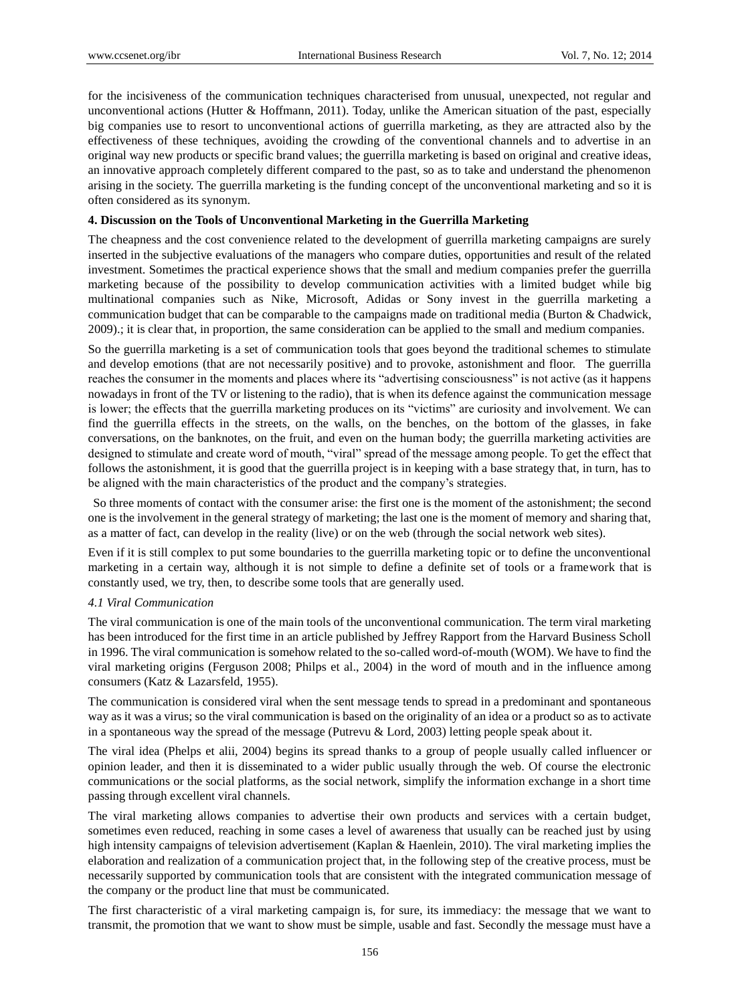for the incisiveness of the communication techniques characterised from unusual, unexpected, not regular and unconventional actions (Hutter & Hoffmann, 2011). Today, unlike the American situation of the past, especially big companies use to resort to unconventional actions of guerrilla marketing, as they are attracted also by the effectiveness of these techniques, avoiding the crowding of the conventional channels and to advertise in an original way new products or specific brand values; the guerrilla marketing is based on original and creative ideas, an innovative approach completely different compared to the past, so as to take and understand the phenomenon arising in the society. The guerrilla marketing is the funding concept of the unconventional marketing and so it is often considered as its synonym.

## **4. Discussion on the Tools of Unconventional Marketing in the Guerrilla Marketing**

The cheapness and the cost convenience related to the development of guerrilla marketing campaigns are surely inserted in the subjective evaluations of the managers who compare duties, opportunities and result of the related investment. Sometimes the practical experience shows that the small and medium companies prefer the guerrilla marketing because of the possibility to develop communication activities with a limited budget while big multinational companies such as Nike, Microsoft, Adidas or Sony invest in the guerrilla marketing a communication budget that can be comparable to the campaigns made on traditional media (Burton & Chadwick, 2009).; it is clear that, in proportion, the same consideration can be applied to the small and medium companies.

So the guerrilla marketing is a set of communication tools that goes beyond the traditional schemes to stimulate and develop emotions (that are not necessarily positive) and to provoke, astonishment and floor. The guerrilla reaches the consumer in the moments and places where its "advertising consciousness" is not active (as it happens nowadays in front of the TV or listening to the radio), that is when its defence against the communication message is lower; the effects that the guerrilla marketing produces on its "victims" are curiosity and involvement. We can find the guerrilla effects in the streets, on the walls, on the benches, on the bottom of the glasses, in fake conversations, on the banknotes, on the fruit, and even on the human body; the guerrilla marketing activities are designed to stimulate and create word of mouth, "viral" spread of the message among people. To get the effect that follows the astonishment, it is good that the guerrilla project is in keeping with a base strategy that, in turn, has to be aligned with the main characteristics of the product and the company's strategies.

So three moments of contact with the consumer arise: the first one is the moment of the astonishment; the second one is the involvement in the general strategy of marketing; the last one is the moment of memory and sharing that, as a matter of fact, can develop in the reality (live) or on the web (through the social network web sites).

Even if it is still complex to put some boundaries to the guerrilla marketing topic or to define the unconventional marketing in a certain way, although it is not simple to define a definite set of tools or a framework that is constantly used, we try, then, to describe some tools that are generally used.

## *4.1 Viral Communication*

The viral communication is one of the main tools of the unconventional communication. The term viral marketing has been introduced for the first time in an article published by Jeffrey Rapport from the Harvard Business Scholl in 1996. The viral communication is somehow related to the so-called word-of-mouth (WOM). We have to find the viral marketing origins (Ferguson 2008; Philps et al., 2004) in the word of mouth and in the influence among consumers (Katz & Lazarsfeld, 1955).

The communication is considered viral when the sent message tends to spread in a predominant and spontaneous way as it was a virus; so the viral communication is based on the originality of an idea or a product so as to activate in a spontaneous way the spread of the message (Putrevu & Lord, 2003) letting people speak about it.

The viral idea (Phelps et alii, 2004) begins its spread thanks to a group of people usually called influencer or opinion leader, and then it is disseminated to a wider public usually through the web. Of course the electronic communications or the social platforms, as the social network, simplify the information exchange in a short time passing through excellent viral channels.

The viral marketing allows companies to advertise their own products and services with a certain budget, sometimes even reduced, reaching in some cases a level of awareness that usually can be reached just by using high intensity campaigns of television advertisement (Kaplan & Haenlein, 2010). The viral marketing implies the elaboration and realization of a communication project that, in the following step of the creative process, must be necessarily supported by communication tools that are consistent with the integrated communication message of the company or the product line that must be communicated.

The first characteristic of a viral marketing campaign is, for sure, its immediacy: the message that we want to transmit, the promotion that we want to show must be simple, usable and fast. Secondly the message must have a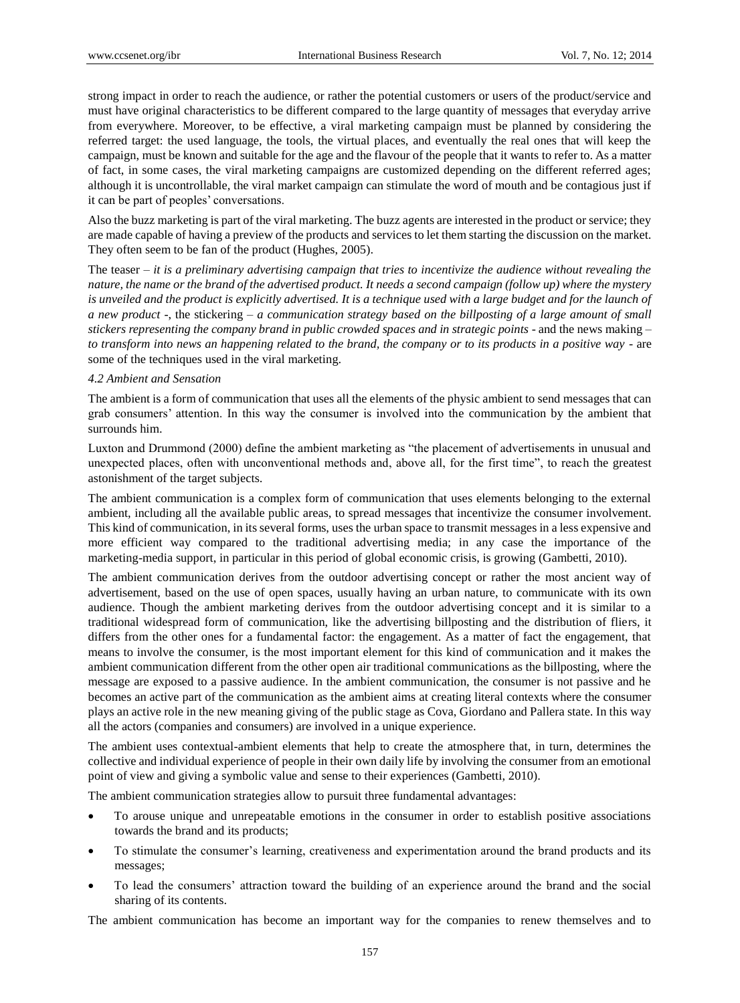strong impact in order to reach the audience, or rather the potential customers or users of the product/service and must have original characteristics to be different compared to the large quantity of messages that everyday arrive from everywhere. Moreover, to be effective, a viral marketing campaign must be planned by considering the referred target: the used language, the tools, the virtual places, and eventually the real ones that will keep the campaign, must be known and suitable for the age and the flavour of the people that it wants to refer to. As a matter of fact, in some cases, the viral marketing campaigns are customized depending on the different referred ages; although it is uncontrollable, the viral market campaign can stimulate the word of mouth and be contagious just if it can be part of peoples' conversations.

Also the buzz marketing is part of the viral marketing. The buzz agents are interested in the product or service; they are made capable of having a preview of the products and services to let them starting the discussion on the market. They often seem to be fan of the product (Hughes, 2005).

The teaser – *it is a preliminary advertising campaign that tries to incentivize the audience without revealing the nature, the name or the brand of the advertised product. It needs a second campaign (follow up) where the mystery*  is unveiled and the product is explicitly advertised. It is a technique used with a large budget and for the launch of *a new product -*, the stickering – *a communication strategy based on the billposting of a large amount of small stickers representing the company brand in public crowded spaces and in strategic points -* and the news making – *to transform into news an happening related to the brand, the company or to its products in a positive way -* are some of the techniques used in the viral marketing.

## *4.2 Ambient and Sensation*

The ambient is a form of communication that uses all the elements of the physic ambient to send messages that can grab consumers' attention. In this way the consumer is involved into the communication by the ambient that surrounds him.

Luxton and Drummond (2000) define the ambient marketing as "the placement of advertisements in unusual and unexpected places, often with unconventional methods and, above all, for the first time", to reach the greatest astonishment of the target subjects.

The ambient communication is a complex form of communication that uses elements belonging to the external ambient, including all the available public areas, to spread messages that incentivize the consumer involvement. This kind of communication, in its several forms, uses the urban space to transmit messages in a less expensive and more efficient way compared to the traditional advertising media; in any case the importance of the marketing-media support, in particular in this period of global economic crisis, is growing (Gambetti, 2010).

The ambient communication derives from the outdoor advertising concept or rather the most ancient way of advertisement, based on the use of open spaces, usually having an urban nature, to communicate with its own audience. Though the ambient marketing derives from the outdoor advertising concept and it is similar to a traditional widespread form of communication, like the advertising billposting and the distribution of fliers, it differs from the other ones for a fundamental factor: the engagement. As a matter of fact the engagement, that means to involve the consumer, is the most important element for this kind of communication and it makes the ambient communication different from the other open air traditional communications as the billposting, where the message are exposed to a passive audience. In the ambient communication, the consumer is not passive and he becomes an active part of the communication as the ambient aims at creating literal contexts where the consumer plays an active role in the new meaning giving of the public stage as Cova, Giordano and Pallera state. In this way all the actors (companies and consumers) are involved in a unique experience.

The ambient uses contextual-ambient elements that help to create the atmosphere that, in turn, determines the collective and individual experience of people in their own daily life by involving the consumer from an emotional point of view and giving a symbolic value and sense to their experiences (Gambetti, 2010).

The ambient communication strategies allow to pursuit three fundamental advantages:

- To arouse unique and unrepeatable emotions in the consumer in order to establish positive associations towards the brand and its products;
- To stimulate the consumer's learning, creativeness and experimentation around the brand products and its messages;
- To lead the consumers' attraction toward the building of an experience around the brand and the social sharing of its contents.

The ambient communication has become an important way for the companies to renew themselves and to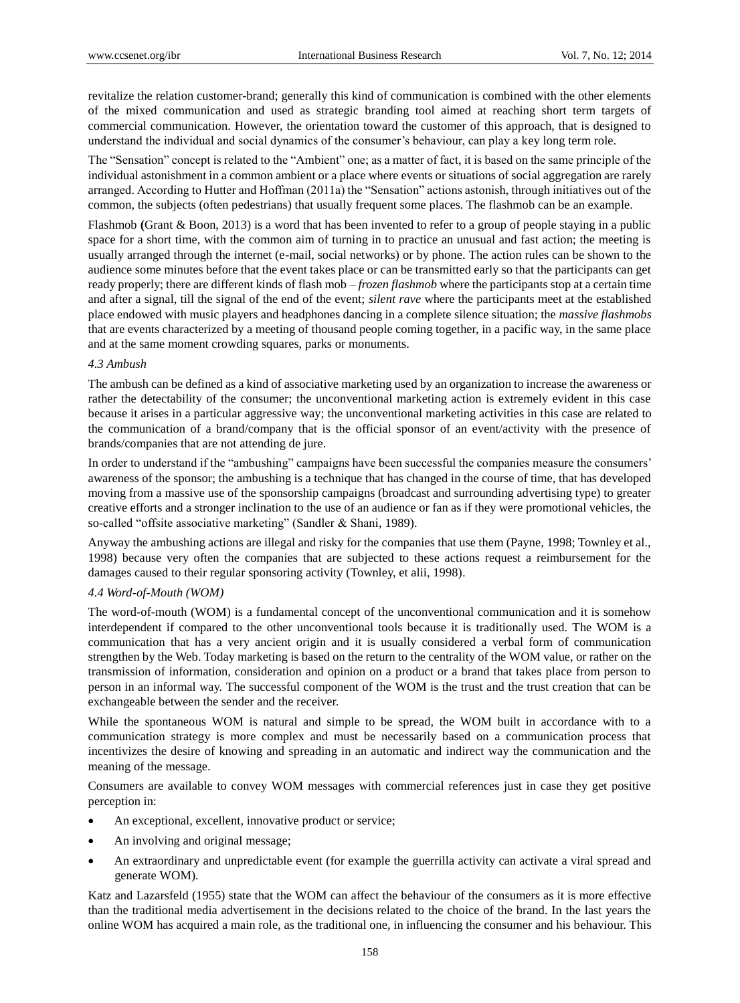revitalize the relation customer-brand; generally this kind of communication is combined with the other elements of the mixed communication and used as strategic branding tool aimed at reaching short term targets of commercial communication. However, the orientation toward the customer of this approach, that is designed to understand the individual and social dynamics of the consumer's behaviour, can play a key long term role.

The "Sensation" concept is related to the "Ambient" one; as a matter of fact, it is based on the same principle of the individual astonishment in a common ambient or a place where events or situations of social aggregation are rarely arranged. According to Hutter and Hoffman (2011a) the "Sensation" actions astonish, through initiatives out of the common, the subjects (often pedestrians) that usually frequent some places. The flashmob can be an example.

Flashmob **(**Grant & Boon, 2013) is a word that has been invented to refer to a group of people staying in a public space for a short time, with the common aim of turning in to practice an unusual and fast action; the meeting is usually arranged through the internet (e-mail, social networks) or by phone. The action rules can be shown to the audience some minutes before that the event takes place or can be transmitted early so that the participants can get ready properly; there are different kinds of flash mob – *frozen flashmob* where the participants stop at a certain time and after a signal, till the signal of the end of the event; *silent rave* where the participants meet at the established place endowed with music players and headphones dancing in a complete silence situation; the *massive flashmobs*  that are events characterized by a meeting of thousand people coming together, in a pacific way, in the same place and at the same moment crowding squares, parks or monuments.

## *4.3 Ambush*

The ambush can be defined as a kind of associative marketing used by an organization to increase the awareness or rather the detectability of the consumer; the unconventional marketing action is extremely evident in this case because it arises in a particular aggressive way; the unconventional marketing activities in this case are related to the communication of a brand/company that is the official sponsor of an event/activity with the presence of brands/companies that are not attending de jure.

In order to understand if the "ambushing" campaigns have been successful the companies measure the consumers' awareness of the sponsor; the ambushing is a technique that has changed in the course of time, that has developed moving from a massive use of the sponsorship campaigns (broadcast and surrounding advertising type) to greater creative efforts and a stronger inclination to the use of an audience or fan as if they were promotional vehicles, the so-called "offsite associative marketing" (Sandler & Shani, 1989).

Anyway the ambushing actions are illegal and risky for the companies that use them (Payne, 1998; Townley et al., 1998) because very often the companies that are subjected to these actions request a reimbursement for the damages caused to their regular sponsoring activity (Townley, et alii, 1998).

# *4.4 Word-of-Mouth (WOM)*

The word-of-mouth (WOM) is a fundamental concept of the unconventional communication and it is somehow interdependent if compared to the other unconventional tools because it is traditionally used. The WOM is a communication that has a very ancient origin and it is usually considered a verbal form of communication strengthen by the Web. Today marketing is based on the return to the centrality of the WOM value, or rather on the transmission of information, consideration and opinion on a product or a brand that takes place from person to person in an informal way. The successful component of the WOM is the trust and the trust creation that can be exchangeable between the sender and the receiver.

While the spontaneous WOM is natural and simple to be spread, the WOM built in accordance with to a communication strategy is more complex and must be necessarily based on a communication process that incentivizes the desire of knowing and spreading in an automatic and indirect way the communication and the meaning of the message.

Consumers are available to convey WOM messages with commercial references just in case they get positive perception in:

- An exceptional, excellent, innovative product or service;
- An involving and original message;
- An extraordinary and unpredictable event (for example the guerrilla activity can activate a viral spread and generate WOM).

Katz and Lazarsfeld (1955) state that the WOM can affect the behaviour of the consumers as it is more effective than the traditional media advertisement in the decisions related to the choice of the brand. In the last years the online WOM has acquired a main role, as the traditional one, in influencing the consumer and his behaviour. This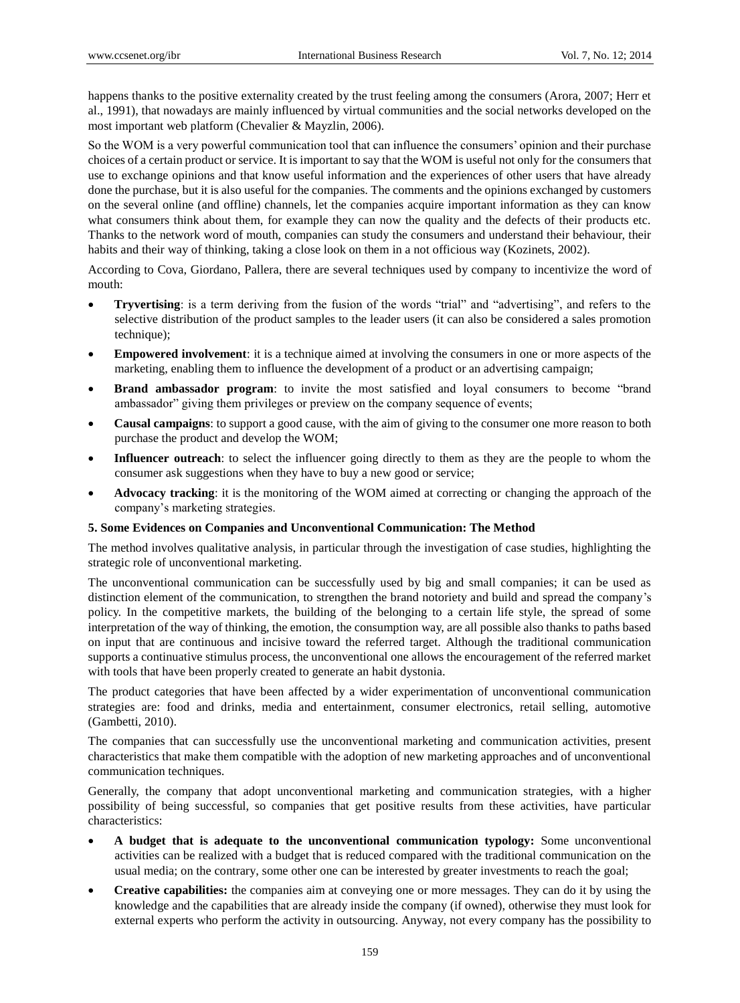happens thanks to the positive externality created by the trust feeling among the consumers (Arora, 2007; Herr et al., 1991), that nowadays are mainly influenced by virtual communities and the social networks developed on the most important web platform (Chevalier & Mayzlin, 2006).

So the WOM is a very powerful communication tool that can influence the consumers' opinion and their purchase choices of a certain product or service. It is important to say that the WOM is useful not only for the consumers that use to exchange opinions and that know useful information and the experiences of other users that have already done the purchase, but it is also useful for the companies. The comments and the opinions exchanged by customers on the several online (and offline) channels, let the companies acquire important information as they can know what consumers think about them, for example they can now the quality and the defects of their products etc. Thanks to the network word of mouth, companies can study the consumers and understand their behaviour, their habits and their way of thinking, taking a close look on them in a not officious way (Kozinets, 2002).

According to Cova, Giordano, Pallera, there are several techniques used by company to incentivize the word of mouth:

- **Tryvertising**: is a term deriving from the fusion of the words "trial" and "advertising", and refers to the selective distribution of the product samples to the leader users (it can also be considered a sales promotion technique);
- **Empowered involvement**: it is a technique aimed at involving the consumers in one or more aspects of the marketing, enabling them to influence the development of a product or an advertising campaign;
- **Brand ambassador program**: to invite the most satisfied and loyal consumers to become "brand" ambassador" giving them privileges or preview on the company sequence of events;
- **Causal campaigns**: to support a good cause, with the aim of giving to the consumer one more reason to both purchase the product and develop the WOM;
- **Influencer outreach**: to select the influencer going directly to them as they are the people to whom the consumer ask suggestions when they have to buy a new good or service;
- **Advocacy tracking**: it is the monitoring of the WOM aimed at correcting or changing the approach of the company's marketing strategies.

## **5. Some Evidences on Companies and Unconventional Communication: The Method**

The method involves qualitative analysis, in particular through the investigation of case studies, highlighting the strategic role of unconventional marketing.

The unconventional communication can be successfully used by big and small companies; it can be used as distinction element of the communication, to strengthen the brand notoriety and build and spread the company's policy. In the competitive markets, the building of the belonging to a certain life style, the spread of some interpretation of the way of thinking, the emotion, the consumption way, are all possible also thanks to paths based on input that are continuous and incisive toward the referred target. Although the traditional communication supports a continuative stimulus process, the unconventional one allows the encouragement of the referred market with tools that have been properly created to generate an habit dystonia.

The product categories that have been affected by a wider experimentation of unconventional communication strategies are: food and drinks, media and entertainment, consumer electronics, retail selling, automotive (Gambetti, 2010).

The companies that can successfully use the unconventional marketing and communication activities, present characteristics that make them compatible with the adoption of new marketing approaches and of unconventional communication techniques.

Generally, the company that adopt unconventional marketing and communication strategies, with a higher possibility of being successful, so companies that get positive results from these activities, have particular characteristics:

- **A budget that is adequate to the unconventional communication typology:** Some unconventional activities can be realized with a budget that is reduced compared with the traditional communication on the usual media; on the contrary, some other one can be interested by greater investments to reach the goal;
- **Creative capabilities:** the companies aim at conveying one or more messages. They can do it by using the knowledge and the capabilities that are already inside the company (if owned), otherwise they must look for external experts who perform the activity in outsourcing. Anyway, not every company has the possibility to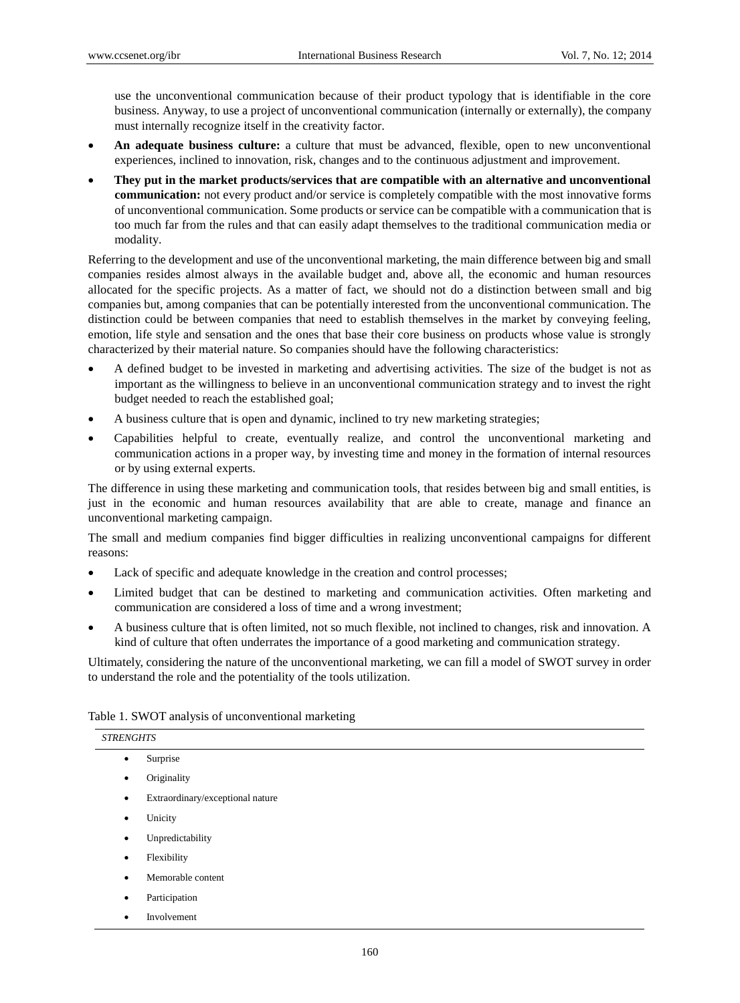use the unconventional communication because of their product typology that is identifiable in the core business. Anyway, to use a project of unconventional communication (internally or externally), the company must internally recognize itself in the creativity factor.

- **An adequate business culture:** a culture that must be advanced, flexible, open to new unconventional experiences, inclined to innovation, risk, changes and to the continuous adjustment and improvement.
- **They put in the market products/services that are compatible with an alternative and unconventional communication:** not every product and/or service is completely compatible with the most innovative forms of unconventional communication. Some products or service can be compatible with a communication that is too much far from the rules and that can easily adapt themselves to the traditional communication media or modality.

Referring to the development and use of the unconventional marketing, the main difference between big and small companies resides almost always in the available budget and, above all, the economic and human resources allocated for the specific projects. As a matter of fact, we should not do a distinction between small and big companies but, among companies that can be potentially interested from the unconventional communication. The distinction could be between companies that need to establish themselves in the market by conveying feeling, emotion, life style and sensation and the ones that base their core business on products whose value is strongly characterized by their material nature. So companies should have the following characteristics:

- A defined budget to be invested in marketing and advertising activities. The size of the budget is not as important as the willingness to believe in an unconventional communication strategy and to invest the right budget needed to reach the established goal;
- A business culture that is open and dynamic, inclined to try new marketing strategies;
- Capabilities helpful to create, eventually realize, and control the unconventional marketing and communication actions in a proper way, by investing time and money in the formation of internal resources or by using external experts.

The difference in using these marketing and communication tools, that resides between big and small entities, is just in the economic and human resources availability that are able to create, manage and finance an unconventional marketing campaign.

The small and medium companies find bigger difficulties in realizing unconventional campaigns for different reasons:

- Lack of specific and adequate knowledge in the creation and control processes;
- Limited budget that can be destined to marketing and communication activities. Often marketing and communication are considered a loss of time and a wrong investment;
- A business culture that is often limited, not so much flexible, not inclined to changes, risk and innovation. A kind of culture that often underrates the importance of a good marketing and communication strategy.

Ultimately, considering the nature of the unconventional marketing, we can fill a model of SWOT survey in order to understand the role and the potentiality of the tools utilization.

|  |  |  |  | Table 1. SWOT analysis of unconventional marketing |  |
|--|--|--|--|----------------------------------------------------|--|
|--|--|--|--|----------------------------------------------------|--|

| <b>STRENGHTS</b> |                                  |  |  |  |
|------------------|----------------------------------|--|--|--|
| $\bullet$        | Surprise                         |  |  |  |
| ٠                | Originality                      |  |  |  |
| ٠                | Extraordinary/exceptional nature |  |  |  |
| $\bullet$        | Unicity                          |  |  |  |
| ٠                | Unpredictability                 |  |  |  |
| ٠                | Flexibility                      |  |  |  |
| ٠                | Memorable content                |  |  |  |
| ٠                | Participation                    |  |  |  |
| ٠                | Involvement                      |  |  |  |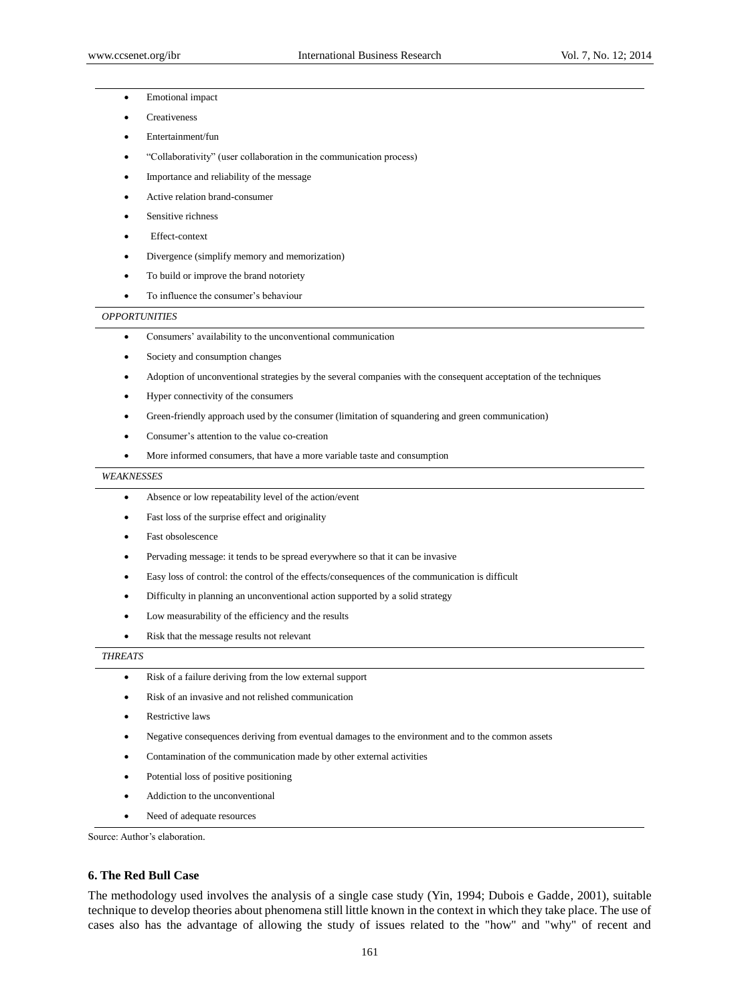- Emotional impact
- Creativeness
- Entertainment/fun
- ―Collaborativity‖ (user collaboration in the communication process)
- Importance and reliability of the message
- Active relation brand-consumer
- Sensitive richness
- Effect-context
- Divergence (simplify memory and memorization)
- To build or improve the brand notoriety
- To influence the consumer's behaviour

#### *OPPORTUNITIES*

- Consumers' availability to the unconventional communication
- Society and consumption changes
- Adoption of unconventional strategies by the several companies with the consequent acceptation of the techniques
- Hyper connectivity of the consumers
- Green-friendly approach used by the consumer (limitation of squandering and green communication)
- Consumer's attention to the value co-creation
- More informed consumers, that have a more variable taste and consumption

#### *WEAKNESSES*

- Absence or low repeatability level of the action/event
- Fast loss of the surprise effect and originality
- Fast obsolescence
- Pervading message: it tends to be spread everywhere so that it can be invasive
- Easy loss of control: the control of the effects/consequences of the communication is difficult
- Difficulty in planning an unconventional action supported by a solid strategy
- Low measurability of the efficiency and the results
- Risk that the message results not relevant

## *THREATS*

- Risk of a failure deriving from the low external support
- Risk of an invasive and not relished communication
- Restrictive laws
- Negative consequences deriving from eventual damages to the environment and to the common assets
- Contamination of the communication made by other external activities
- Potential loss of positive positioning
- Addiction to the unconventional
- Need of adequate resources

Source: Author's elaboration.

## **6. The Red Bull Case**

The methodology used involves the analysis of a single case study (Yin, 1994; Dubois e Gadde, 2001), suitable technique to develop theories about phenomena still little known in the context in which they take place. The use of cases also has the advantage of allowing the study of issues related to the "how" and "why" of recent and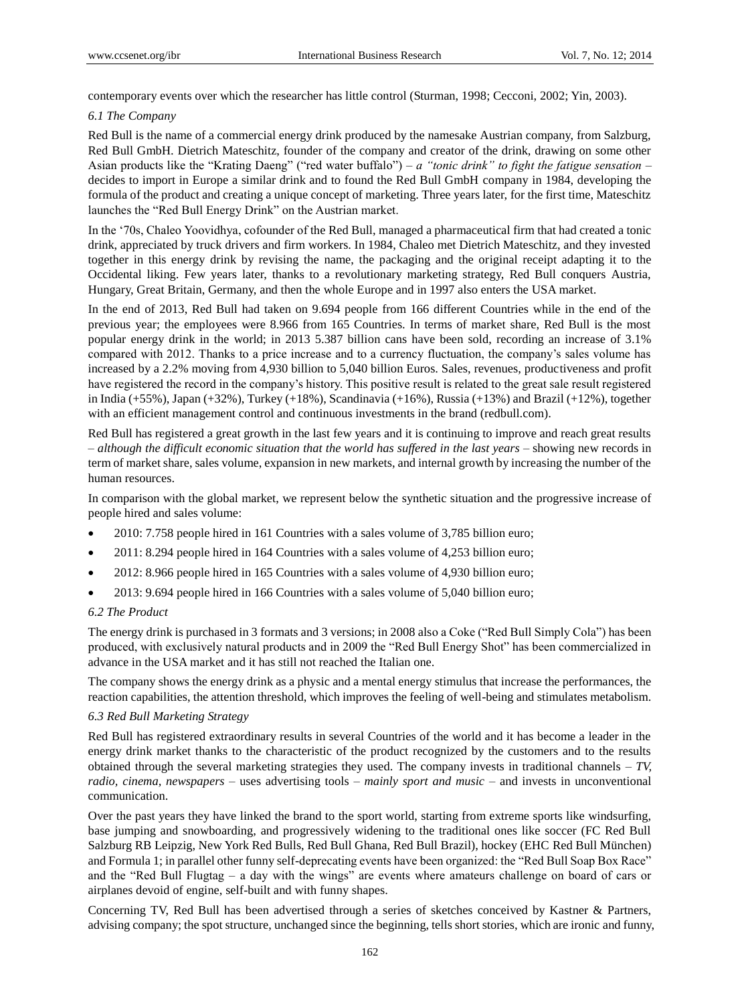contemporary events over which the researcher has little control (Sturman, 1998; Cecconi, 2002; Yin, 2003).

## *6.1 The Company*

Red Bull is the name of a commercial energy drink produced by the namesake Austrian company, from Salzburg, Red Bull GmbH. Dietrich Mateschitz, founder of the company and creator of the drink, drawing on some other Asian products like the "Krating Daeng" ("red water buffalo") – *a "tonic drink" to fight the fatigue sensation* – decides to import in Europe a similar drink and to found the Red Bull GmbH company in 1984, developing the formula of the product and creating a unique concept of marketing. Three years later, for the first time, Mateschitz launches the "Red Bull Energy Drink" on the Austrian market.

In the ‗70s, Chaleo Yoovidhya, cofounder of the Red Bull, managed a pharmaceutical firm that had created a tonic drink, appreciated by truck drivers and firm workers. In 1984, Chaleo met Dietrich Mateschitz, and they invested together in this energy drink by revising the name, the packaging and the original receipt adapting it to the Occidental liking. Few years later, thanks to a revolutionary marketing strategy, Red Bull conquers Austria, Hungary, Great Britain, Germany, and then the whole Europe and in 1997 also enters the USA market.

In the end of 2013, Red Bull had taken on 9.694 people from 166 different Countries while in the end of the previous year; the employees were 8.966 from 165 Countries. In terms of market share, Red Bull is the most popular energy drink in the world; in 2013 5.387 billion cans have been sold, recording an increase of 3.1% compared with 2012. Thanks to a price increase and to a currency fluctuation, the company's sales volume has increased by a 2.2% moving from 4,930 billion to 5,040 billion Euros. Sales, revenues, productiveness and profit have registered the record in the company's history. This positive result is related to the great sale result registered in India (+55%), Japan (+32%), Turkey (+18%), Scandinavia (+16%), Russia (+13%) and Brazil (+12%), together with an efficient management control and continuous investments in the brand (redbull.com).

Red Bull has registered a great growth in the last few years and it is continuing to improve and reach great results – *although the difficult economic situation that the world has suffered in the last years* – showing new records in term of market share, sales volume, expansion in new markets, and internal growth by increasing the number of the human resources.

In comparison with the global market, we represent below the synthetic situation and the progressive increase of people hired and sales volume:

- 2010: 7.758 people hired in 161 Countries with a sales volume of 3,785 billion euro;
- 2011: 8.294 people hired in 164 Countries with a sales volume of 4,253 billion euro;
- 2012: 8.966 people hired in 165 Countries with a sales volume of 4,930 billion euro;
- 2013: 9.694 people hired in 166 Countries with a sales volume of 5,040 billion euro;

## *6.2 The Product*

The energy drink is purchased in 3 formats and 3 versions; in 2008 also a Coke ("Red Bull Simply Cola") has been produced, with exclusively natural products and in 2009 the "Red Bull Energy Shot" has been commercialized in advance in the USA market and it has still not reached the Italian one.

The company shows the energy drink as a physic and a mental energy stimulus that increase the performances, the reaction capabilities, the attention threshold, which improves the feeling of well-being and stimulates metabolism.

## *6.3 Red Bull Marketing Strategy*

Red Bull has registered extraordinary results in several Countries of the world and it has become a leader in the energy drink market thanks to the characteristic of the product recognized by the customers and to the results obtained through the several marketing strategies they used. The company invests in traditional channels – *TV, radio, cinema, newspapers* – uses advertising tools – *mainly sport and music* – and invests in unconventional communication.

Over the past years they have linked the brand to the sport world, starting from extreme sports like windsurfing, base jumping and snowboarding, and progressively widening to the traditional ones like soccer (FC Red Bull Salzburg RB Leipzig, New York Red Bulls, Red Bull Ghana, Red Bull Brazil), hockey (EHC Red Bull München) and Formula 1; in parallel other funny self-deprecating events have been organized: the "Red Bull Soap Box Race" and the "Red Bull Flugtag – a day with the wings" are events where amateurs challenge on board of cars or airplanes devoid of engine, self-built and with funny shapes.

Concerning TV, Red Bull has been advertised through a series of sketches conceived by Kastner & Partners, advising company; the spot structure, unchanged since the beginning, tells short stories, which are ironic and funny,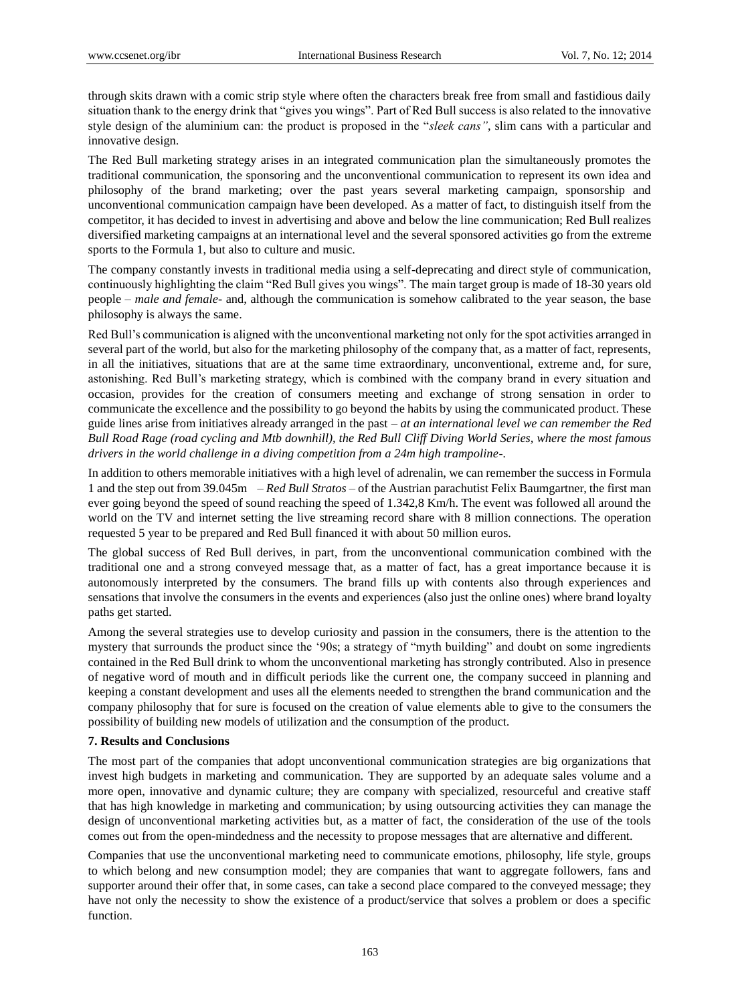through skits drawn with a comic strip style where often the characters break free from small and fastidious daily situation thank to the energy drink that "gives you wings". Part of Red Bull success is also related to the innovative style design of the aluminium can: the product is proposed in the "*sleek cans*", slim cans with a particular and innovative design.

The Red Bull marketing strategy arises in an integrated communication plan the simultaneously promotes the traditional communication, the sponsoring and the unconventional communication to represent its own idea and philosophy of the brand marketing; over the past years several marketing campaign, sponsorship and unconventional communication campaign have been developed. As a matter of fact, to distinguish itself from the competitor, it has decided to invest in advertising and above and below the line communication; Red Bull realizes diversified marketing campaigns at an international level and the several sponsored activities go from the extreme sports to the Formula 1, but also to culture and music.

The company constantly invests in traditional media using a self-deprecating and direct style of communication, continuously highlighting the claim "Red Bull gives you wings". The main target group is made of 18-30 years old people – *male and female*- and, although the communication is somehow calibrated to the year season, the base philosophy is always the same.

Red Bull's communication is aligned with the unconventional marketing not only for the spot activities arranged in several part of the world, but also for the marketing philosophy of the company that, as a matter of fact, represents, in all the initiatives, situations that are at the same time extraordinary, unconventional, extreme and, for sure, astonishing. Red Bull's marketing strategy, which is combined with the company brand in every situation and occasion, provides for the creation of consumers meeting and exchange of strong sensation in order to communicate the excellence and the possibility to go beyond the habits by using the communicated product. These guide lines arise from initiatives already arranged in the past – *at an international level we can remember the Red Bull Road Rage (road cycling and Mtb downhill), the Red Bull Cliff Diving World Series, where the most famous drivers in the world challenge in a diving competition from a 24m high trampoline-.*

In addition to others memorable initiatives with a high level of adrenalin, we can remember the success in Formula 1 and the step out from 39.045m – *Red Bull Stratos* – of the Austrian parachutist Felix Baumgartner, the first man ever going beyond the speed of sound reaching the speed of 1.342,8 Km/h. The event was followed all around the world on the TV and internet setting the live streaming record share with 8 million connections. The operation requested 5 year to be prepared and Red Bull financed it with about 50 million euros.

The global success of Red Bull derives, in part, from the unconventional communication combined with the traditional one and a strong conveyed message that, as a matter of fact, has a great importance because it is autonomously interpreted by the consumers. The brand fills up with contents also through experiences and sensations that involve the consumers in the events and experiences (also just the online ones) where brand loyalty paths get started.

Among the several strategies use to develop curiosity and passion in the consumers, there is the attention to the mystery that surrounds the product since the '90s; a strategy of "myth building" and doubt on some ingredients contained in the Red Bull drink to whom the unconventional marketing has strongly contributed. Also in presence of negative word of mouth and in difficult periods like the current one, the company succeed in planning and keeping a constant development and uses all the elements needed to strengthen the brand communication and the company philosophy that for sure is focused on the creation of value elements able to give to the consumers the possibility of building new models of utilization and the consumption of the product.

## **7. Results and Conclusions**

The most part of the companies that adopt unconventional communication strategies are big organizations that invest high budgets in marketing and communication. They are supported by an adequate sales volume and a more open, innovative and dynamic culture; they are company with specialized, resourceful and creative staff that has high knowledge in marketing and communication; by using outsourcing activities they can manage the design of unconventional marketing activities but, as a matter of fact, the consideration of the use of the tools comes out from the open-mindedness and the necessity to propose messages that are alternative and different.

Companies that use the unconventional marketing need to communicate emotions, philosophy, life style, groups to which belong and new consumption model; they are companies that want to aggregate followers, fans and supporter around their offer that, in some cases, can take a second place compared to the conveyed message; they have not only the necessity to show the existence of a product/service that solves a problem or does a specific function.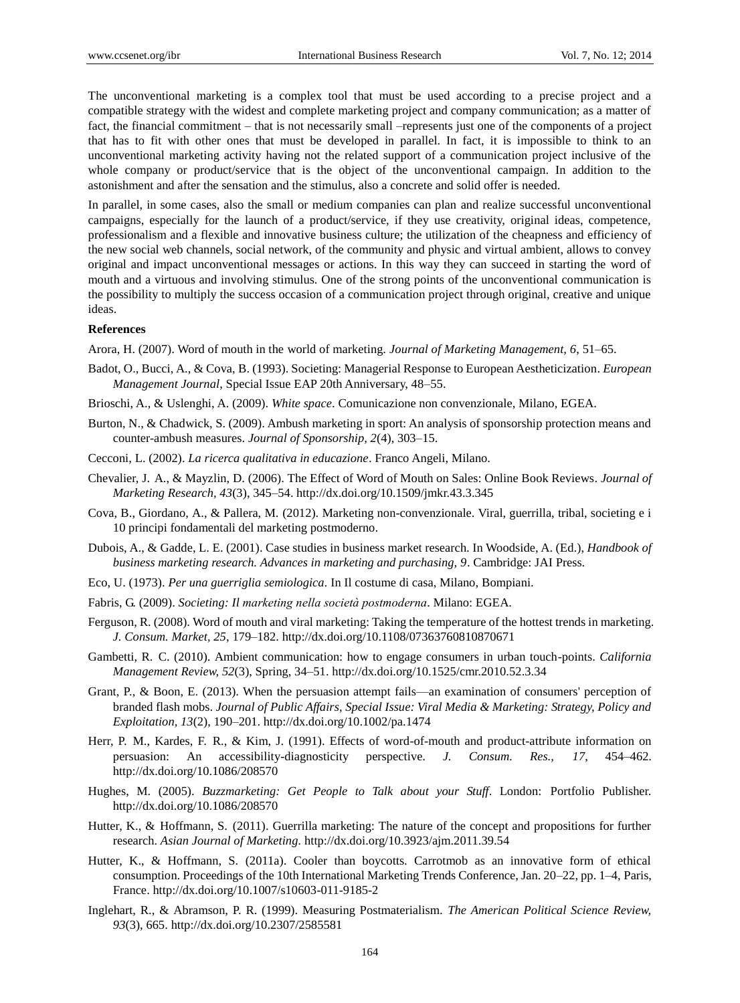The unconventional marketing is a complex tool that must be used according to a precise project and a compatible strategy with the widest and complete marketing project and company communication; as a matter of fact, the financial commitment – that is not necessarily small –represents just one of the components of a project that has to fit with other ones that must be developed in parallel. In fact, it is impossible to think to an unconventional marketing activity having not the related support of a communication project inclusive of the whole company or product/service that is the object of the unconventional campaign. In addition to the astonishment and after the sensation and the stimulus, also a concrete and solid offer is needed.

In parallel, in some cases, also the small or medium companies can plan and realize successful unconventional campaigns, especially for the launch of a product/service, if they use creativity, original ideas, competence, professionalism and a flexible and innovative business culture; the utilization of the cheapness and efficiency of the new social web channels, social network, of the community and physic and virtual ambient, allows to convey original and impact unconventional messages or actions. In this way they can succeed in starting the word of mouth and a virtuous and involving stimulus. One of the strong points of the unconventional communication is the possibility to multiply the success occasion of a communication project through original, creative and unique ideas.

## **References**

Arora, H. (2007). Word of mouth in the world of marketing. *Journal of Marketing Management, 6*, 51–65.

- Badot, O., Bucci, A., & Cova, B. (1993). Societing: Managerial Response to European Aestheticization. *European Management Journal*, Special Issue EAP 20th Anniversary, 48–55.
- Brioschi, A., & Uslenghi, A. (2009). *White space*. Comunicazione non convenzionale, Milano, EGEA.
- Burton, N., & Chadwick, S. (2009). Ambush marketing in sport: An analysis of sponsorship protection means and counter-ambush measures. *Journal of Sponsorship, 2*(4), 303–15.
- Cecconi, L. (2002). *La ricerca qualitativa in educazione*. Franco Angeli, Milano.
- Chevalier, J. A., & Mayzlin, D. (2006). The Effect of Word of Mouth on Sales: Online Book Reviews. *Journal of Marketing Research, 43*(3), 345–54. http://dx.doi.org/10.1509/jmkr.43.3.345
- Cova, B., Giordano, A., & Pallera, M. (2012). Marketing non-convenzionale. Viral, guerrilla, tribal, societing e i 10 principi fondamentali del marketing postmoderno.
- Dubois, A., & Gadde, L. E. (2001). Case studies in business market research. In Woodside, A. (Ed.), *Handbook of business marketing research. Advances in marketing and purchasing, 9*. Cambridge: JAI Press.
- Eco, U. (1973). *Per una guerriglia semiologica.* In Il costume di casa, Milano, Bompiani.
- Fabris, G. (2009). *Societing: Il marketing nella società postmoderna*. Milano: EGEA.
- Ferguson, R. (2008). Word of mouth and viral marketing: Taking the temperature of the hottest trends in marketing. *J. Consum. Market, 25*, 179–182. http://dx.doi.org/10.1108/07363760810870671
- Gambetti, R. C. (2010). Ambient communication: how to engage consumers in urban touch-points. *California Management Review, 52*(3), Spring, 34–51. http://dx.doi.org/10.1525/cmr.2010.52.3.34
- Grant, P., & Boon, E. (2013). When the persuasion attempt fails—an examination of consumers' perception of branded flash mobs. *Journal of Public Affairs, Special Issue: Viral Media & Marketing: Strategy, Policy and Exploitation, 13*(2), 190–201. http://dx.doi.org/10.1002/pa.1474
- Herr, P. M., Kardes, F. R., & Kim, J. (1991). Effects of word-of-mouth and product-attribute information on persuasion: An accessibility-diagnosticity perspective. *J. Consum. Res., 17*, 454–462. http://dx.doi.org/10.1086/208570
- Hughes, M. (2005). *Buzzmarketing: Get People to Talk about your Stuff*. London: Portfolio Publisher. http://dx.doi.org/10.1086/208570
- Hutter, K., & Hoffmann, S. (2011). Guerrilla marketing: The nature of the concept and propositions for further research. *Asian Journal of Marketing.* http://dx.doi.org/10.3923/ajm.2011.39.54
- Hutter, K., & Hoffmann, S. (2011a). Cooler than boycotts. Carrotmob as an innovative form of ethical consumption. Proceedings of the 10th International Marketing Trends Conference, Jan. 20–22, pp. 1–4, Paris, France. http://dx.doi.org/10.1007/s10603-011-9185-2
- Inglehart, R., & Abramson, P. R. (1999). Measuring Postmaterialism. *The American Political Science Review, 93*(3), 665. http://dx.doi.org/10.2307/2585581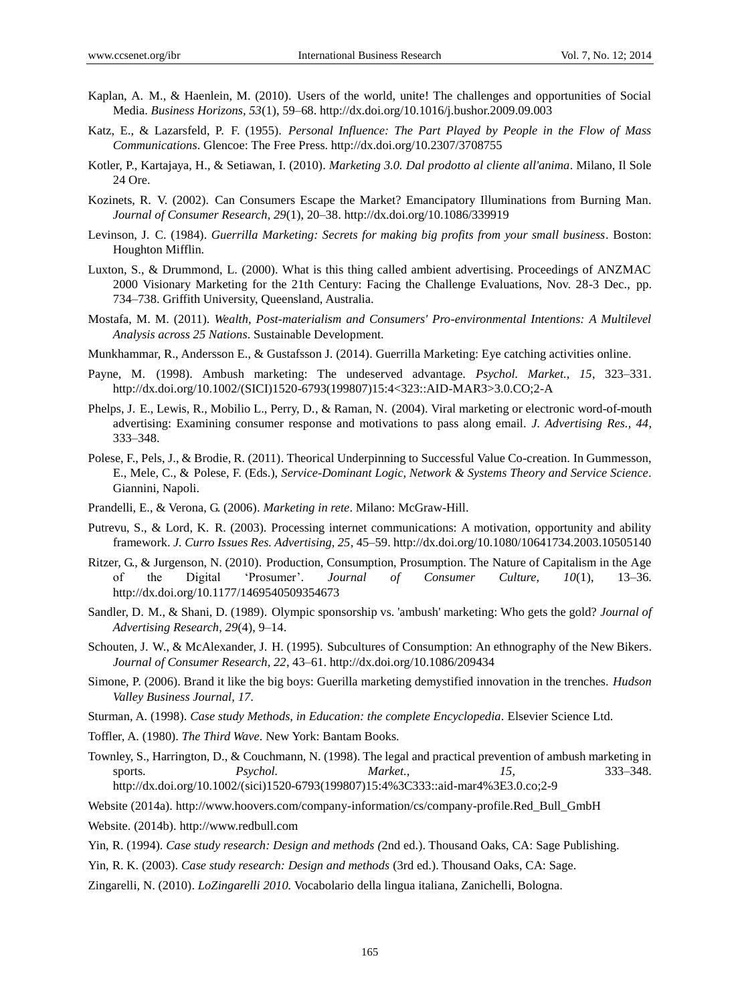- Kaplan, A. M., & Haenlein, M. (2010). Users of the world, unite! The challenges and opportunities of Social Media. *Business Horizons, 53*(1), 59–68. http://dx.doi.org/10.1016/j.bushor.2009.09.003
- Katz, E., & Lazarsfeld, P. F. (1955). *Personal Influence: The Part Played by People in the Flow of Mass Communications*. Glencoe: The Free Press. http://dx.doi.org/10.2307/3708755
- Kotler, P., Kartajaya, H., & Setiawan, I. (2010). *Marketing 3.0. Dal prodotto al cliente all'anima*. Milano, Il Sole 24 Ore.
- Kozinets, R. V. (2002). Can Consumers Escape the Market? Emancipatory Illuminations from Burning Man. *Journal of Consumer Research, 29*(1), 20–38. http://dx.doi.org/10.1086/339919
- Levinson, J. C. (1984). *Guerrilla Marketing: Secrets for making big profits from your small business*. Boston: Houghton Mifflin.
- Luxton, S., & Drummond, L. (2000). What is this thing called ambient advertising. Proceedings of ANZMAC 2000 Visionary Marketing for the 21th Century: Facing the Challenge Evaluations, Nov. 28-3 Dec., pp. 734–738. Griffith University, Queensland, Australia.
- Mostafa, M. M. (2011). *Wealth, Post-materialism and Consumers' Pro-environmental Intentions: A Multilevel Analysis across 25 Nations*. Sustainable Development.
- Munkhammar, R., Andersson E., & Gustafsson J. (2014). Guerrilla Marketing: Eye catching activities online.
- Payne, M. (1998). Ambush marketing: The undeserved advantage. *Psychol. Market., 15*, 323–331. http://dx.doi.org/10.1002/(SICI)1520-6793(199807)15:4<323::AID-MAR3>3.0.CO;2-A
- Phelps, J. E., Lewis, R., Mobilio L., Perry, D., & Raman, N. (2004). Viral marketing or electronic word-of-mouth advertising: Examining consumer response and motivations to pass along email. *J. Advertising Res., 44*, 333–348.
- Polese, F., Pels, J., & Brodie, R. (2011). Theorical Underpinning to Successful Value Co-creation. In Gummesson, E., Mele, C., & Polese, F. (Eds.), *Service-Dominant Logic, Network & Systems Theory and Service Science.* Giannini, Napoli.
- Prandelli, E., & Verona, G. (2006). *Marketing in rete*. Milano: McGraw-Hill.
- Putrevu, S., & Lord, K. R. (2003). Processing internet communications: A motivation, opportunity and ability framework. *J. Curro Issues Res. Advertising, 25*, 45–59. http://dx.doi.org/10.1080/10641734.2003.10505140
- Ritzer, G., & Jurgenson, N. (2010). Production, Consumption, Prosumption. The Nature of Capitalism in the Age of the Digital ‗Prosumer'. *Journal of Consumer Culture, 10*(1), 13–36. http://dx.doi.org/10.1177/1469540509354673
- Sandler, D. M., & Shani, D. (1989). Olympic sponsorship vs. 'ambush' marketing: Who gets the gold? *Journal of Advertising Research, 29*(4), 9–14.
- Schouten, J. W., & McAlexander, J. H. (1995). Subcultures of Consumption: An ethnography of the New Bikers. *Journal of Consumer Research, 22*, 43–61. http://dx.doi.org/10.1086/209434
- Simone, P. (2006). Brand it like the big boys: Guerilla marketing demystified innovation in the trenches. *Hudson Valley Business Journal, 17*.
- Sturman, A. (1998). *Case study Methods, in Education: the complete Encyclopedia.* Elsevier Science Ltd.
- Toffler, A. (1980). *The Third Wave*. New York: Bantam Books.
- Townley, S., Harrington, D., & Couchmann, N. (1998). The legal and practical prevention of ambush marketing in sports. *Psychol. Market., 15*, 333–348. http://dx.doi.org/10.1002/(sici)1520-6793(199807)15:4%3C333::aid-mar4%3E3.0.co;2-9

Website (2014a). http://www.hoovers.com/company-information/cs/company-profile.Red\_Bull\_GmbH

Website. (2014b). http://www.redbull.com

Yin, R. (1994). *Case study research: Design and methods (*2nd ed.). Thousand Oaks, CA: Sage Publishing.

- Yin, R. K. (2003). *Case study research: Design and methods* (3rd ed.). Thousand Oaks, CA: Sage.
- Zingarelli, N. (2010). *LoZingarelli 2010.* Vocabolario della lingua italiana, Zanichelli, Bologna.